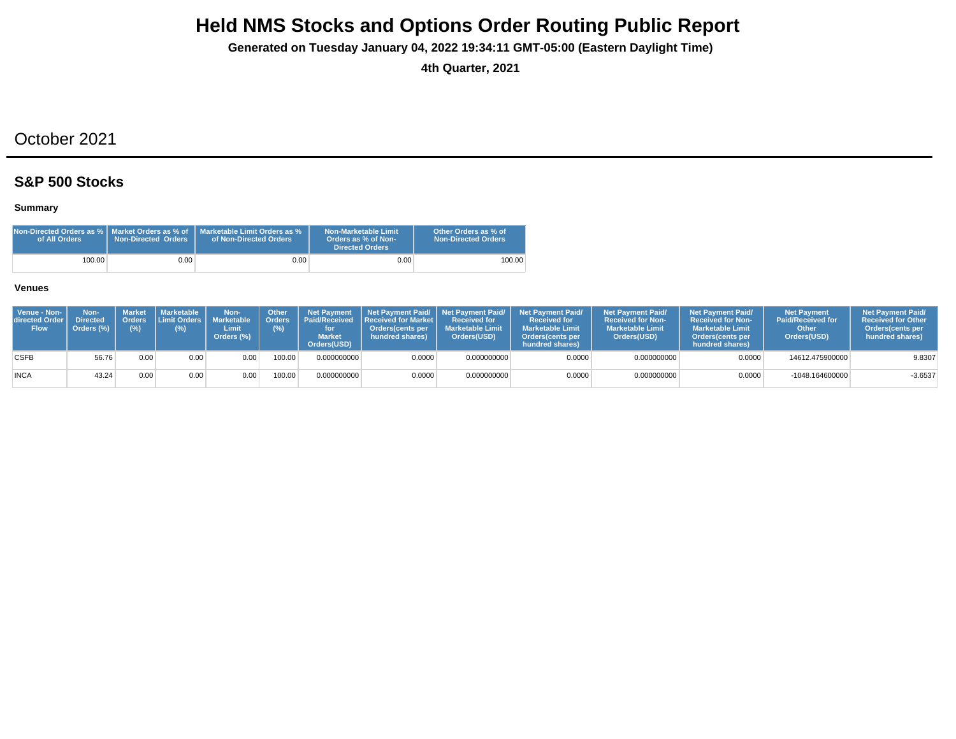**Generated on Tuesday January 04, 2022 19:34:11 GMT-05:00 (Eastern Daylight Time)**

**4th Quarter, 2021**

## October 2021

### **S&P 500 Stocks**

### **Summary**

| Non-Directed Orders as %   Market Orders as % of<br>of All Orders | <b>Non-Directed Orders</b> | Marketable Limit Orders as %<br>of Non-Directed Orders | Non-Marketable Limit<br>Orders as % of Non-<br>Directed Orders | Other Orders as % of<br><b>Non-Directed Orders</b> |
|-------------------------------------------------------------------|----------------------------|--------------------------------------------------------|----------------------------------------------------------------|----------------------------------------------------|
| 100.00                                                            | 0.001                      | $0.00\,$                                               | 0.00                                                           | 100.00                                             |

| Venue - Non-<br><b>directed Order I</b><br><b>Flow</b> | Non-<br><b>Directed</b><br>Orders (%) | Market<br>(%) | Marketable  <br>$(\%)$ | Non-<br>Orders Limit Orders Marketable   Orders<br>Limit<br>Orders (%) | <b>Other</b><br>(%) | <b>Market</b><br>Orders(USD) | Net Payment   Net Payment Paid/   Net Payment Paid/  <br><b>Paid/Received Received for Market I</b><br>Orders(cents per<br>hundred shares) | <b>Received for</b><br><b>Marketable Limit</b><br>Orders(USD) | <b>Net Payment Paid/</b><br><b>Received for</b><br><b>Marketable Limit</b><br><b>Orders</b> (cents per<br>hundred shares) | <b>Net Payment Paid/</b><br><b>Received for Non-</b><br><b>Marketable Limit</b><br>Orders(USD) | <b>Net Payment Paid/</b><br><b>Received for Non-</b><br><b>Marketable Limit</b><br><b>Orders</b> (cents per<br>hundred shares) | <b>Net Payment</b><br><b>Paid/Received for</b><br>Other<br>Orders(USD) | <b>Net Payment Paid/</b><br><b>Received for Other</b><br>Orders(cents per<br>hundred shares) |
|--------------------------------------------------------|---------------------------------------|---------------|------------------------|------------------------------------------------------------------------|---------------------|------------------------------|--------------------------------------------------------------------------------------------------------------------------------------------|---------------------------------------------------------------|---------------------------------------------------------------------------------------------------------------------------|------------------------------------------------------------------------------------------------|--------------------------------------------------------------------------------------------------------------------------------|------------------------------------------------------------------------|----------------------------------------------------------------------------------------------|
| <b>CSFB</b>                                            | 56.76                                 | 0.00          | 0.00                   | 0.00                                                                   | 100.00              | 0.000000000                  | 0.0000                                                                                                                                     | 0.000000000                                                   | 0.0000                                                                                                                    | 0.000000000                                                                                    | 0.0000                                                                                                                         | 14612.475900000                                                        | 9.8307                                                                                       |
| <b>INCA</b>                                            | 43.24                                 | 0.00          | 0.00                   | 0.00                                                                   | 100.00              | 0.000000000                  | 0.0000                                                                                                                                     | 0.000000000                                                   | 0.0000                                                                                                                    | 0.000000000                                                                                    | 0.0000                                                                                                                         | -1048.164600000                                                        | $-3.6537$                                                                                    |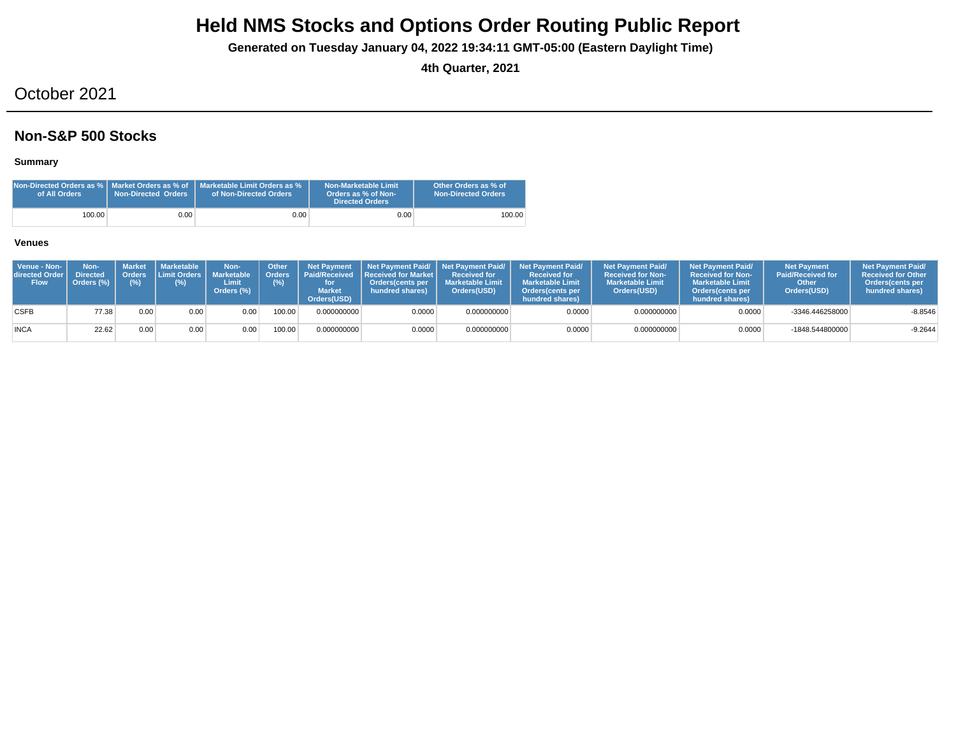**Generated on Tuesday January 04, 2022 19:34:11 GMT-05:00 (Eastern Daylight Time)**

**4th Quarter, 2021**

## October 2021

### **Non-S&P 500 Stocks**

### **Summary**

| of All Orders | <b>Non-Directed Orders</b> | Non-Directed Orders as %   Market Orders as % of   Marketable Limit Orders as %<br>of Non-Directed Orders | Non-Marketable Limit<br>Orders as % of Non-<br><b>Directed Orders</b> | Other Orders as % of<br><b>Non-Directed Orders</b> |
|---------------|----------------------------|-----------------------------------------------------------------------------------------------------------|-----------------------------------------------------------------------|----------------------------------------------------|
| 100.00        | 0.00                       | 0.00 <sub>1</sub>                                                                                         | 0.00                                                                  | 100.00                                             |

| Venue - Non-<br>directed Order I<br><b>Flow</b> | Non-<br><b>Directed</b><br>Orders (%) | <b>Orders</b><br>(%) | ' Market I Marketable<br>Limit Orders   Marketable  <br>(%) | Non-<br>Limit<br>Orders (%) | Other<br>Orders<br>(%) | <b>Net Payment</b><br><b>Market</b><br>Orders(USD) | <b>Paid/Received Received for Market L</b><br>Orders(cents per<br>hundred shares) | <b>Received for</b><br><b>Marketable Limit</b><br>Orders(USD) | Net Payment Paid/ Net Payment Paid/ Net Payment Paid/<br><b>Received for</b><br><b>Marketable Limit</b><br>Orders (cents per<br>hundred shares) | <b>Net Payment Paid/</b><br><b>Received for Non-</b><br><b>Marketable Limit</b><br>Orders(USD) | <b>Net Payment Paid/</b><br><b>Received for Non-</b><br><b>Marketable Limit</b><br>Orders(cents per<br>hundred shares) | <b>Net Payment</b><br><b>Paid/Received for</b><br>Other<br>Orders(USD) | <b>Net Payment Paid/</b><br><b>Received for Other</b><br><b>Orders</b> (cents per<br>hundred shares) |
|-------------------------------------------------|---------------------------------------|----------------------|-------------------------------------------------------------|-----------------------------|------------------------|----------------------------------------------------|-----------------------------------------------------------------------------------|---------------------------------------------------------------|-------------------------------------------------------------------------------------------------------------------------------------------------|------------------------------------------------------------------------------------------------|------------------------------------------------------------------------------------------------------------------------|------------------------------------------------------------------------|------------------------------------------------------------------------------------------------------|
| <b>CSFB</b>                                     | 77.38                                 | 0.00                 | 0.00                                                        | 0.00                        | 100.00                 | 0.000000000                                        | 0.0000                                                                            | 0.000000000                                                   | 0.0000                                                                                                                                          | 0.000000000                                                                                    | 0.0000                                                                                                                 | -3346.446258000                                                        | $-8.8546$                                                                                            |
| <b>INCA</b>                                     | 22.62                                 | 0.00                 | 0.00                                                        | 0.00                        | 100.00                 | 0.000000000                                        | 0.0000                                                                            | 0.000000000                                                   | 0.0000                                                                                                                                          | 0.000000000                                                                                    | 0.0000                                                                                                                 | -1848.544800000                                                        | $-9.2644$                                                                                            |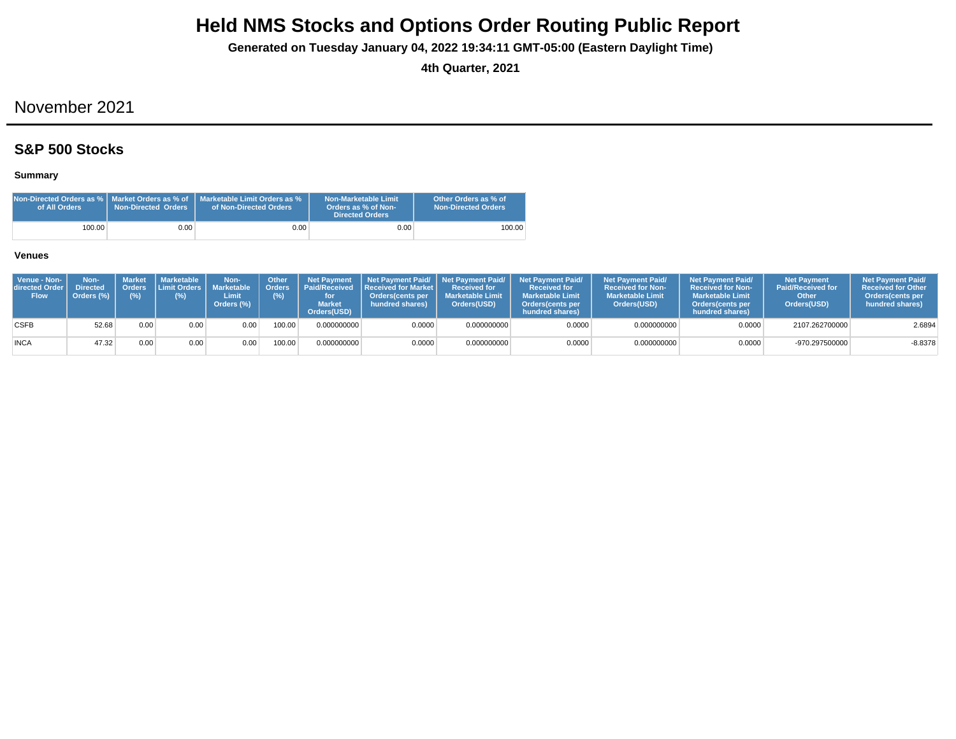**Generated on Tuesday January 04, 2022 19:34:11 GMT-05:00 (Eastern Daylight Time)**

**4th Quarter, 2021**

## November 2021

### **S&P 500 Stocks**

### **Summary**

| Non-Directed Orders as %   Market Orders as % of<br>of All Orders | <b>Non-Directed Orders</b> | Marketable Limit Orders as %<br>of Non-Directed Orders | Non-Marketable Limit<br>Orders as % of Non-<br>Directed Orders | Other Orders as % of<br>Non-Directed Orders |
|-------------------------------------------------------------------|----------------------------|--------------------------------------------------------|----------------------------------------------------------------|---------------------------------------------|
| 100.00                                                            | 0.001                      | $0.00 -$                                               | 0.00                                                           | 100.00                                      |

| Venue - Non-<br>directed Order I<br><b>Flow</b> | Non-<br><b>Directed</b><br>Orders (%) | (% ) | Market   Marketable<br>Orders Limit Orders   Marketable<br>(%) | Non-<br>Limit<br>Orders (%) | <b>Other</b><br>(% ) | <b>Net Pavment</b><br><b>Market</b><br>Orders(USD) | Orders   Paid/Received   Received for Market  <br><b>Orders</b> (cents per<br>hundred shares) | <b>Received for</b><br><b>Marketable Limit</b><br>Orders(USD) | Net Payment Paid/ Net Payment Paid/ Net Payment Paid/<br><b>Received for</b><br><b>Marketable Limit</b><br><b>Orders</b> (cents per<br>hundred shares) | <b>Net Payment Paid/</b><br><b>Received for Non-</b><br><b>Marketable Limit</b><br>Orders(USD) | <b>Net Payment Paid/</b><br><b>Received for Non-</b><br><b>Marketable Limit</b><br><b>Orders</b> (cents per<br>hundred shares) | <b>Net Payment</b><br><b>Paid/Received for</b><br>Other<br>Orders(USD) | <b>Net Payment Paid/</b><br><b>Received for Other</b><br><b>Orders</b> (cents per<br>hundred shares) |
|-------------------------------------------------|---------------------------------------|------|----------------------------------------------------------------|-----------------------------|----------------------|----------------------------------------------------|-----------------------------------------------------------------------------------------------|---------------------------------------------------------------|--------------------------------------------------------------------------------------------------------------------------------------------------------|------------------------------------------------------------------------------------------------|--------------------------------------------------------------------------------------------------------------------------------|------------------------------------------------------------------------|------------------------------------------------------------------------------------------------------|
| <b>CSFB</b>                                     | 52.68                                 | 0.00 | 0.00                                                           | 0.00                        | 00.00                | 0.000000000                                        | 0.0000                                                                                        | 0.000000000                                                   | 0.0000                                                                                                                                                 | 0.000000000                                                                                    | 0.0000                                                                                                                         | 2107.262700000                                                         | 2.6894                                                                                               |
| <b>INCA</b>                                     | 47.32                                 | 0.00 | 0.00                                                           | 0.00                        | 100.00               | 0.000000000                                        | 0.0000                                                                                        | 0.000000000                                                   | 0.0000                                                                                                                                                 | 0.000000000                                                                                    | 0.0000                                                                                                                         | -970.297500000                                                         | $-8.8378$                                                                                            |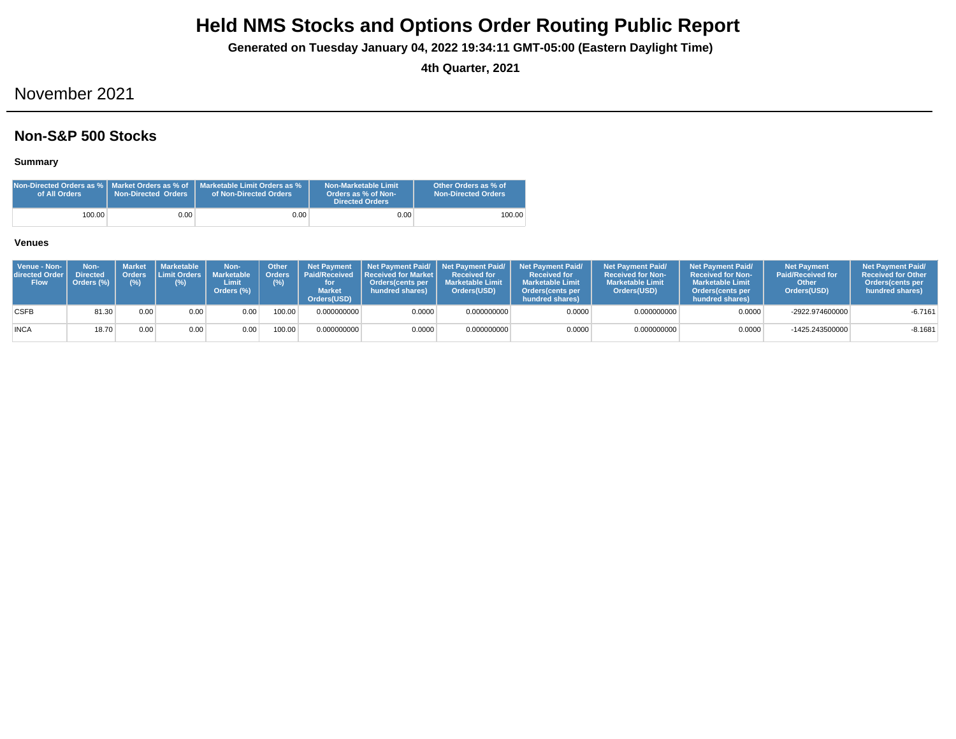**Generated on Tuesday January 04, 2022 19:34:11 GMT-05:00 (Eastern Daylight Time)**

**4th Quarter, 2021**

## November 2021

### **Non-S&P 500 Stocks**

**Summary**

| of All Orders | <b>Non-Directed Orders</b> | Non-Directed Orders as %   Market Orders as % of   Marketable Limit Orders as %<br>of Non-Directed Orders | Non-Marketable Limit<br>Orders as % of Non-<br><b>Directed Orders</b> | Other Orders as % of<br><b>Non-Directed Orders</b> |
|---------------|----------------------------|-----------------------------------------------------------------------------------------------------------|-----------------------------------------------------------------------|----------------------------------------------------|
| 100.00        | 0.00                       | $0.00\,$                                                                                                  | 0.00                                                                  | 100.00                                             |

| Venue - Non-<br>directed Order I<br><b>Flow</b> | Non-<br><b>Directed</b><br>Orders (%) | Orders<br>$(\%)$ | Market   Marketable<br><b>I Limit Orders I</b><br>(%) | Non-<br><b>Marketable</b><br>Limit<br>Orders (%) | <b>Other</b><br>Orders <sup>'</sup><br>(%) | <b>Net Payment</b><br><b>Market</b><br>Orders(USD) | Paid/Received Received for Market I<br><b>Orders</b> (cents per<br>hundred shares) | <b>Received for</b><br><b>Marketable Limit</b><br>Orders(USD) | Net Payment Paid/ Net Payment Paid/ Net Payment Paid/<br><b>Received for</b><br><b>Marketable Limit</b><br>Orders (cents per<br>hundred shares) | <b>Net Payment Paid/</b><br><b>Received for Non-</b><br><b>Marketable Limit</b><br>Orders(USD) | <b>Net Payment Paid/</b><br><b>Received for Non-</b><br><b>Marketable Limit</b><br><b>Orders</b> (cents per<br>hundred shares) | <b>Net Payment</b><br><b>Paid/Received for</b><br>Other<br>Orders(USD) | <b>Net Payment Paid/</b><br><b>Received for Other</b><br>Orders (cents per<br>hundred shares) |
|-------------------------------------------------|---------------------------------------|------------------|-------------------------------------------------------|--------------------------------------------------|--------------------------------------------|----------------------------------------------------|------------------------------------------------------------------------------------|---------------------------------------------------------------|-------------------------------------------------------------------------------------------------------------------------------------------------|------------------------------------------------------------------------------------------------|--------------------------------------------------------------------------------------------------------------------------------|------------------------------------------------------------------------|-----------------------------------------------------------------------------------------------|
| <b>CSFB</b>                                     | 81.30                                 | 0.00             | 0.00                                                  | 0.00                                             | 100.00                                     | 0.000000000                                        | 0.0000                                                                             | 0.000000000                                                   | 0.0000                                                                                                                                          | 0.000000000                                                                                    | 0.0000                                                                                                                         | -2922.974600000                                                        | $-6.7161$                                                                                     |
| <b>INCA</b>                                     | 18.70                                 | 0.00             | 0.00                                                  | 0.00                                             | 100.00                                     | 0.000000000                                        | 0.0000                                                                             | 0.000000000                                                   | 0.0000                                                                                                                                          | 0.000000000                                                                                    | 0.0000                                                                                                                         | -1425.243500000                                                        | $-8.1681$                                                                                     |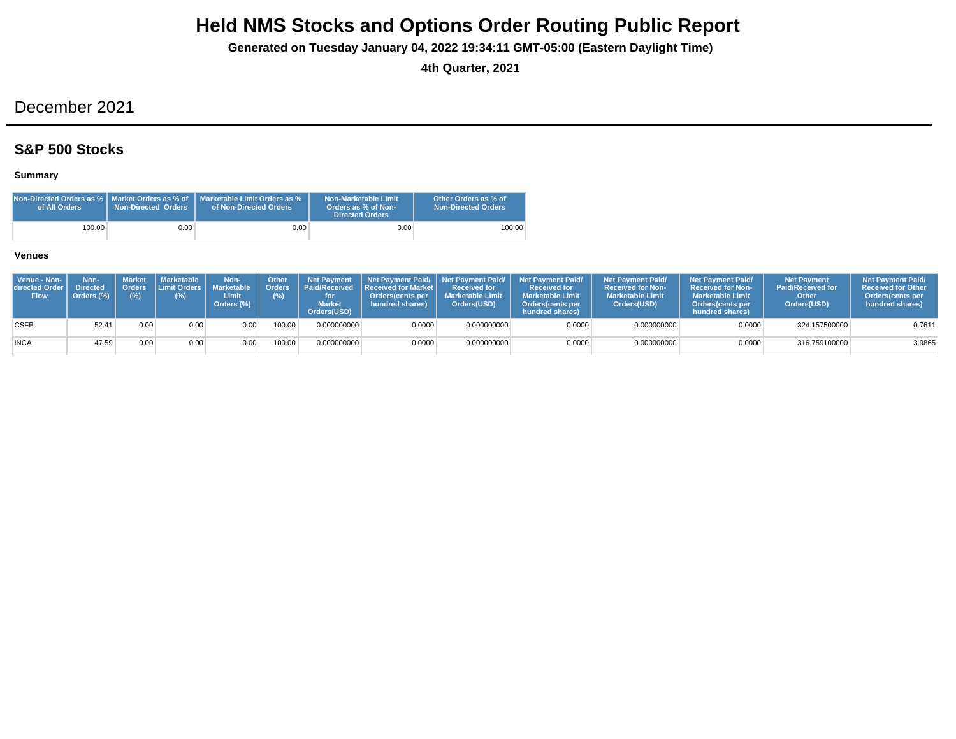**Generated on Tuesday January 04, 2022 19:34:11 GMT-05:00 (Eastern Daylight Time)**

**4th Quarter, 2021**

## December 2021

### **S&P 500 Stocks**

### **Summary**

| Non-Directed Orders as %   Market Orders as % of<br>of All Orders | Non-Directed Orders | Marketable Limit Orders as %<br>of Non-Directed Orders | Non-Marketable Limit<br>Orders as % of Non-<br><b>Directed Orders</b> | Other Orders as % of<br><b>Non-Directed Orders</b> |
|-------------------------------------------------------------------|---------------------|--------------------------------------------------------|-----------------------------------------------------------------------|----------------------------------------------------|
| 100.00                                                            | 0.001               | 0.001                                                  | 0.00                                                                  | 100.00                                             |

| Venue - Non-<br>directed Order I<br><b>Flow</b> | Non-<br><b>Directed</b><br>Orders (%) | <b>Orders</b><br>(%) | Market   Marketable<br><b>Limit Orders I</b><br>(%) | Non-<br>Marketable<br>Limit<br>Orders (%) | <b>Other</b> | <b>Net Pavment</b><br>Orders   Paid/Received<br><b>Market</b><br>Orders(USD) | <b>Received for Market L</b><br>Orders(cents per<br>hundred shares) | Received for<br><b>I</b> Marketable Limit<br>Orders(USD) | Net Payment Paid/ Net Payment Paid/ Net Payment Paid/<br><b>Received for</b><br><b>Marketable Limit</b><br>Orders(cents per<br>hundred shares) | <b>Net Payment Paid/</b><br><b>Received for Non-</b><br><b>Marketable Limit</b><br>Orders(USD) | <b>Net Payment Paid/</b><br><b>Received for Non-</b><br><b>Marketable Limit</b><br><b>Orders</b> (cents per<br>hundred shares) | <b>Net Payment</b><br><b>Paid/Received for</b><br>Other<br>Orders(USD) | <b>Net Payment Paid/</b><br><b>Received for Other</b><br><b>Orders</b> (cents per<br>hundred shares) |
|-------------------------------------------------|---------------------------------------|----------------------|-----------------------------------------------------|-------------------------------------------|--------------|------------------------------------------------------------------------------|---------------------------------------------------------------------|----------------------------------------------------------|------------------------------------------------------------------------------------------------------------------------------------------------|------------------------------------------------------------------------------------------------|--------------------------------------------------------------------------------------------------------------------------------|------------------------------------------------------------------------|------------------------------------------------------------------------------------------------------|
| <b>CSFB</b>                                     | 52.41                                 | 0.00                 | 0.00                                                | 0.00                                      | 00.00        | 0.000000000                                                                  | 0.0000                                                              | 0.000000000                                              | 0.0000                                                                                                                                         | 0.000000000                                                                                    | 0.0000                                                                                                                         | 324.157500000                                                          | 0.7611                                                                                               |
| <b>INCA</b>                                     | 47.59                                 | 0.00                 | 0.00                                                | 0.00 <sub>1</sub>                         | 100.00       | 0.000000000                                                                  | 0.0000                                                              | 0.000000000                                              | 0.0000                                                                                                                                         | 0.000000000                                                                                    | 0.0000                                                                                                                         | 316.759100000                                                          | 3.9865                                                                                               |